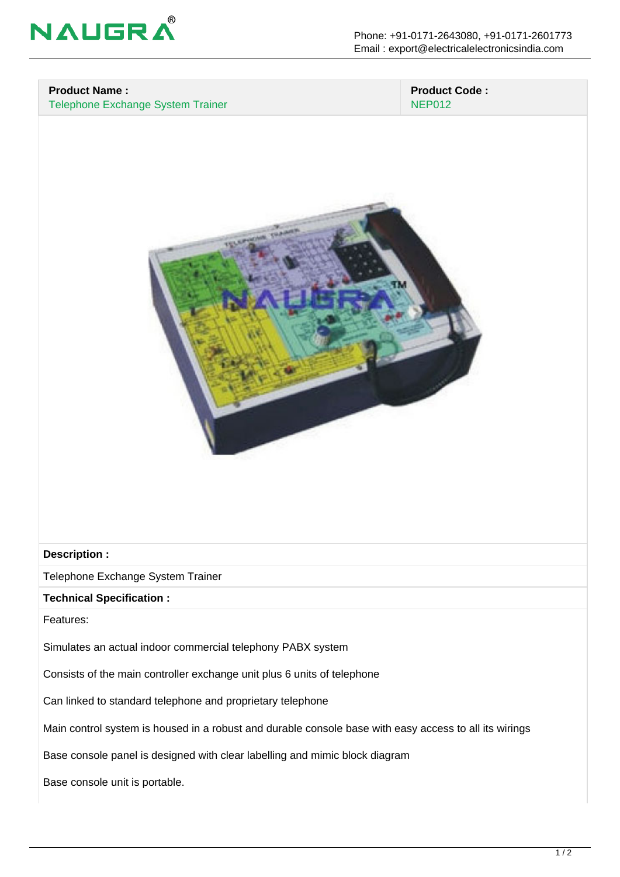

## **Product Name :**

Telephone Exchange System Trainer

#### **Product Code :** NEP012



#### **Description :**

Telephone Exchange System Trainer

### **Technical Specification :**

Features:

Simulates an actual indoor commercial telephony PABX system

Consists of the main controller exchange unit plus 6 units of telephone

Can linked to standard telephone and proprietary telephone

Main control system is housed in a robust and durable console base with easy access to all its wirings

Base console panel is designed with clear labelling and mimic block diagram

Base console unit is portable.